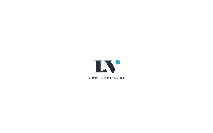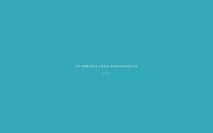#### **LV PORTĀLA LOGO SPECIFIKĀCIJA**

2016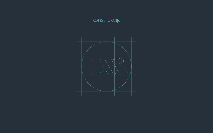## konstrukcija

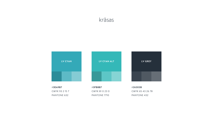#### krāsas

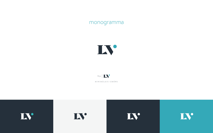monogramma











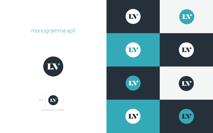

#### monogramma aplī





MINIMĀLAIS IZMĒRS



IN









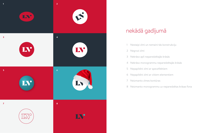- 1 Nestaipi zīmi un nemaini tās konstrukciju
- 2 Negrozi zīmi
- 3 Nekrāso apli neparedzētajās krāsās
- 4 Nekrāso monogrammu neparedzētajās krāsās
- 5 Nepapildini zīmi ar specefektiem
- 6 Nepapildini zīmi ar citiem elementiem
- 7 Neizmanto zīmes kontūras
- 8 Neizmanto monogrammu uz neparedzētas krāsas fona



#### nekādā gadījumā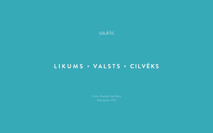

## LIKUMS · VALSTS · CILVĒKS

Fonts: Brandon Text Bold Retinājums: 200

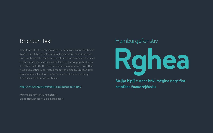# **Rghea** Hamburgefonstiv



# Muļķa hipiji turpat brīvi mēģina nogaršot

celofāna žņaudzējčūsku

#### Brandon Text

Brandon Text is the companion of the famous Brandon Grotesque type family. It has a higher x-height than the Grotesque version and is optimized for long texts, small sizes and screens. Influenced by the geometric-style sans serif faces that were popular during the 1920s and 30s, the fonts are based on geometric forms that have been optically corrected for better legibility. Brandon Text has a functional look with a warm touch and works perfectly together with Brandon Grotesque.

Minimālais fonta stilu komplekts: Light, Regular, Italic, Bold & Bold Italic

#### *https://www.myfonts.com/fonts/hvdfonts/brandon-text/*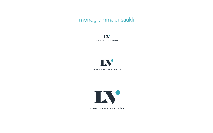**IV LIKUMS • V A L S T S • CILVĒKS**



**LIKUMS • V A L S T S • CILVĒKS**



**LIKUMS • V A L S T S • CILVĒKS**

monogramma ar saukli